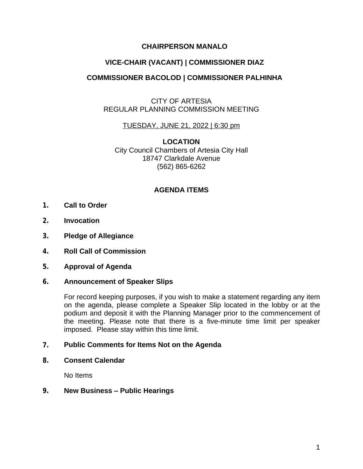## **CHAIRPERSON MANALO**

# **VICE-CHAIR (VACANT) | COMMISSIONER DIAZ**

## **COMMISSIONER BACOLOD | COMMISSIONER PALHINHA**

### CITY OF ARTESIA REGULAR PLANNING COMMISSION MEETING

### TUESDAY, JUNE 21, 2022 | 6:30 pm

**LOCATION** City Council Chambers of Artesia City Hall 18747 Clarkdale Avenue (562) 865-6262

### **AGENDA ITEMS**

- **1. Call to Order**
- **2. Invocation**
- **3. Pledge of Allegiance**
- **4. Roll Call of Commission**
- **5. Approval of Agenda**

#### **6. Announcement of Speaker Slips**

For record keeping purposes, if you wish to make a statement regarding any item on the agenda, please complete a Speaker Slip located in the lobby or at the podium and deposit it with the Planning Manager prior to the commencement of the meeting. Please note that there is a five-minute time limit per speaker imposed. Please stay within this time limit.

#### **7. Public Comments for Items Not on the Agenda**

**8. Consent Calendar**

No Items

#### **9. New Business – Public Hearings**